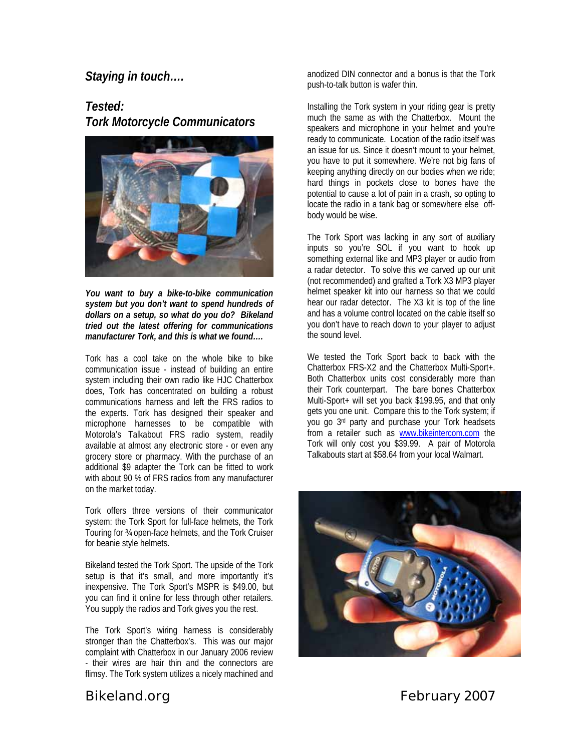## *Staying in touch….*

*Tested: Tork Motorcycle Communicators* 



*You want to buy a bike-to-bike communication system but you don't want to spend hundreds of dollars on a setup, so what do you do? Bikeland tried out the latest offering for communications manufacturer Tork, and this is what we found….* 

Tork has a cool take on the whole bike to bike communication issue - instead of building an entire system including their own radio like HJC Chatterbox does, Tork has concentrated on building a robust communications harness and left the FRS radios to the experts. Tork has designed their speaker and microphone harnesses to be compatible with Motorola's Talkabout FRS radio system, readily available at almost any electronic store - or even any grocery store or pharmacy. With the purchase of an additional \$9 adapter the Tork can be fitted to work with about 90 % of FRS radios from any manufacturer on the market today.

Tork offers three versions of their communicator system: the Tork Sport for full-face helmets, the Tork Touring for ¾ open-face helmets, and the Tork Cruiser for beanie style helmets.

Bikeland tested the Tork Sport. The upside of the Tork setup is that it's small, and more importantly it's inexpensive. The Tork Sport's MSPR is \$49.00, but you can find it online for less through other retailers. You supply the radios and Tork gives you the rest.

The Tork Sport's wiring harness is considerably stronger than the Chatterbox's. This was our major complaint with Chatterbox in our January 2006 review - their wires are hair thin and the connectors are flimsy. The Tork system utilizes a nicely machined and

anodized DIN connector and a bonus is that the Tork push-to-talk button is wafer thin.

Installing the Tork system in your riding gear is pretty much the same as with the Chatterbox. Mount the speakers and microphone in your helmet and you're ready to communicate. Location of the radio itself was an issue for us. Since it doesn't mount to your helmet, you have to put it somewhere. We're not big fans of keeping anything directly on our bodies when we ride; hard things in pockets close to bones have the potential to cause a lot of pain in a crash, so opting to locate the radio in a tank bag or somewhere else offbody would be wise.

The Tork Sport was lacking in any sort of auxiliary inputs so you're SOL if you want to hook up something external like and MP3 player or audio from a radar detector. To solve this we carved up our unit (not recommended) and grafted a Tork X3 MP3 player helmet speaker kit into our harness so that we could hear our radar detector. The X3 kit is top of the line and has a volume control located on the cable itself so you don't have to reach down to your player to adjust the sound level.

We tested the Tork Sport back to back with the Chatterbox FRS-X2 and the Chatterbox Multi-Sport+. Both Chatterbox units cost considerably more than their Tork counterpart. The bare bones Chatterbox Multi-Sport+ will set you back \$199.95, and that only gets you one unit. Compare this to the Tork system; if you go 3rd party and purchase your Tork headsets from a retailer such as [www.bikeintercom.com](http://www.bikeintercom.com/) the Tork will only cost you \$39.99. A pair of Motorola Talkabouts start at \$58.64 from your local Walmart.



*Bikeland.org* February 2007